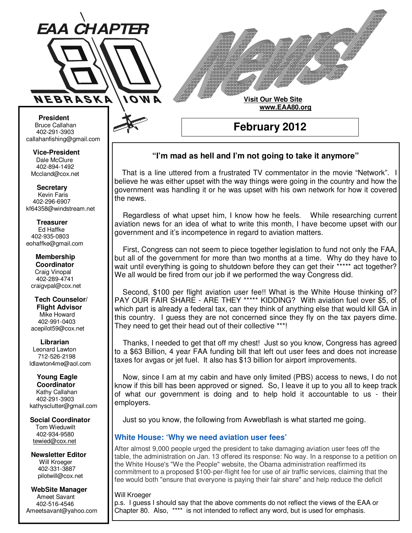

**Visit Our Web Site**

 **www.EAA80.org**

**February 2012** 

## **"I'm mad as hell and I'm not going to take it anymore"**

 That is a line uttered from a frustrated TV commentator in the movie "Network". I believe he was either upset with the way things were going in the country and how the government was handling it or he was upset with his own network for how it covered the news.

 Regardless of what upset him, I know how he feels. While researching current aviation news for an idea of what to write this month, I have become upset with our government and it's incompetence in regard to aviation matters.

 First, Congress can not seem to piece together legislation to fund not only the FAA, but all of the government for more than two months at a time. Why do they have to wait until everything is going to shutdown before they can get their \*\*\*\*\* act together? We all would be fired from our job if we performed the way Congress did.

 Second, \$100 per flight aviation user fee!! What is the White House thinking of? PAY OUR FAIR SHARE - ARE THEY \*\*\*\*\* KIDDING? With aviation fuel over \$5, of which part is already a federal tax, can they think of anything else that would kill GA in this country. I guess they are not concerned since they fly on the tax payers dime. They need to get their head out of their collective \*\*\*!

 Thanks, I needed to get that off my chest! Just so you know, Congress has agreed to a \$63 Billion, 4 year FAA funding bill that left out user fees and does not increase taxes for avgas or jet fuel. It also has \$13 billion for airport improvements.

 Now, since I am at my cabin and have only limited (PBS) access to news, I do not know if this bill has been approved or signed. So, I leave it up to you all to keep track of what our government is doing and to help hold it accountable to us - their employers.

Just so you know, the following from Avwebflash is what started me going.

## **White House: 'Why we need aviation user fees'**

After almost 9,000 people urged the president to take damaging aviation user fees off the table, the administration on Jan. 13 offered its response: No way. In a response to a petition on the White House's "We the People" website, the Obama administration reaffirmed its commitment to a proposed \$100-per-flight fee for use of air traffic services, claiming that the fee would both "ensure that everyone is paying their fair share" and help reduce the deficit

## Will Kroeger

p.s. I guess I should say that the above comments do not reflect the views of the EAA or Chapter 80. Also, \*\*\*\* is not intended to reflect any word, but is used for emphasis.

**Bruce Callahan** 402-291-3903 callahanfishing@gmail.com jrnuke@cox.net  **President** 

Dale McClure 402-894-1492 Mccland@cox.net  **Vice-President** 

**Kevin Faris** 402-296-6907 kf64358@windstream.net  **Secretary** 

Ed Haffke 402-935-0803 eohaffke@gmail.com  **Treasurer** 

eohaffke@gmail.com **Membership Coordi- Coordinator**  Craig Vinopal Bob Cartwright 402-289-4741 craigvpal@cox.net  **Membership** 

robertc@novia.net **Tech Counselors & Flight Advisor** Mike Howard Bob Harvey 402-991-0403 acepilot59@cox.net  **Tech Counselor/** 

Leonard Lawton 402-991-0403 712-526-2198 ldlawton4me@aol.com  **Librarian**

**Librarian Young Eagle Coordinator** Kathy Callahan ldlawton4me@aol.com 402-291-3903 kathysclutter@gmail.com

 **Coordinator Social Coordinator**  Tom Wieduwilt 402-964-2645 402-934-9580 tewied@cox.net

**Newsletter Editor Newsletter Editor**  Will Kroeger Will Kroeger 402-331-3887 402-331-3887 pilotwill@cox.net

**WebSite Manager WebSite Manager**  Ameet Savant 402-516-4546 Ameet Savant<br>402-516-4546<br>Ameetsavant@yahoo.com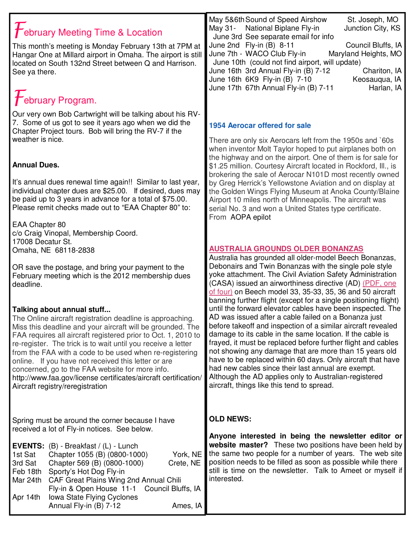| $\mathcal T$ ebruary Meeting Time & Location<br>This month's meeting is Monday February 13th at 7PM at<br>Hangar One at Millard airport in Omaha. The airport is still<br>located on South 132nd Street between Q and Harrison.<br>See ya there.<br>$f$ ebruary Program.                                                                                                                                                                                                                                                                                                                                                                                                                    | May 5&6th Sound of Speed Airshow<br>St. Joseph, MO<br>May 31- National Biplane Fly-in<br>Junction City, KS<br>June 3rd See separate email for info<br>June 2nd Fly-in (B) 8-11<br>Council Bluffs, IA<br>June 7th - WACO Club Fly-in<br>Maryland Heights, MO<br>June 10th (could not find airport, will update)<br>June 16th 3rd Annual Fly-in (B) 7-12<br>Chariton, IA<br>June 16th 6K9 Fly-in (B) 7-10<br>Keosauqua, IA<br>June 17th 67th Annual Fly-in (B) 7-11<br>Harlan, IA                                                                                                                                                                                                                                                                                                                                                                               |
|---------------------------------------------------------------------------------------------------------------------------------------------------------------------------------------------------------------------------------------------------------------------------------------------------------------------------------------------------------------------------------------------------------------------------------------------------------------------------------------------------------------------------------------------------------------------------------------------------------------------------------------------------------------------------------------------|---------------------------------------------------------------------------------------------------------------------------------------------------------------------------------------------------------------------------------------------------------------------------------------------------------------------------------------------------------------------------------------------------------------------------------------------------------------------------------------------------------------------------------------------------------------------------------------------------------------------------------------------------------------------------------------------------------------------------------------------------------------------------------------------------------------------------------------------------------------|
| Our very own Bob Cartwright will be talking about his RV-<br>7. Some of us got to see it years ago when we did the<br>Chapter Project tours. Bob will bring the RV-7 if the<br>weather is nice.<br><b>Annual Dues.</b><br>It's annual dues renewal time again!! Similar to last year,<br>individual chapter dues are \$25.00. If desired, dues may                                                                                                                                                                                                                                                                                                                                          | <b>1954 Aerocar offered for sale</b><br>There are only six Aerocars left from the 1950s and `60s<br>when inventor Molt Taylor hoped to put airplanes both on<br>the highway and on the airport. One of them is for sale for<br>\$1.25 million. Courtesy Aircraft located in Rockford, Ill., is<br>brokering the sale of Aerocar N101D most recently owned<br>by Greg Herrick's Yellowstone Aviation and on display at<br>the Golden Wings Flying Museum at Anoka County/Blaine                                                                                                                                                                                                                                                                                                                                                                                |
| be paid up to 3 years in advance for a total of \$75.00.<br>Please remit checks made out to "EAA Chapter 80" to:<br>EAA Chapter 80<br>c/o Craig Vinopal, Membership Coord.<br>17008 Decatur St.<br>Omaha, NE 68118-2838                                                                                                                                                                                                                                                                                                                                                                                                                                                                     | Airport 10 miles north of Minneapolis. The aircraft was<br>serial No. 3 and won a United States type certificate.<br>From AOPA epilot<br><b>AUSTRALIA GROUNDS OLDER BONANZAS</b><br>Australia has grounded all older-model Beech Bonanzas,<br>Debonairs and Twin Bonanzas with the single pole style                                                                                                                                                                                                                                                                                                                                                                                                                                                                                                                                                          |
| OR save the postage, and bring your payment to the<br>February meeting which is the 2012 membership dues<br>deadline.<br>Talking about annual stuff<br>The Online aircraft registration deadline is approaching.<br>Miss this deadline and your aircraft will be grounded. The<br>FAA requires all aircraft registered prior to Oct. 1, 2010 to<br>re-register. The trick is to wait until you receive a letter<br>from the FAA with a code to be used when re-registering<br>online. If you have not received this letter or are<br>concerned, go to the FAA website for more info.<br>http://www.faa.gov/license certificates/aircraft certification/<br>Aircraft registry/reregistration | yoke attachment. The Civil Aviation Safety Administration<br>(CASA) issued an airworthiness directive (AD) (PDF, one<br>of four) on Beech model 33, 35-33, 35, 36 and 50 aircraft<br>banning further flight (except for a single positioning flight)<br>until the forward elevator cables have been inspected. The<br>AD was issued after a cable failed on a Bonanza just<br>before takeoff and inspection of a similar aircraft revealed<br>damage to its cable in the same location. If the cable is<br>frayed, it must be replaced before further flight and cables<br>not showing any damage that are more than 15 years old<br>have to be replaced within 60 days. Only aircraft that have<br>had new cables since their last annual are exempt.<br>Although the AD applies only to Australian-registered<br>aircraft, things like this tend to spread. |
| Spring must be around the corner because I have<br>received a lot of Fly-in notices. See below.<br><b>EVENTS:</b> $(B)$ - Breakfast / $(L)$ - Lunch<br>1st Sat<br>Chapter 1055 (B) (0800-1000)<br>York, NE<br>3rd Sat<br>Chapter 569 (B) (0800-1000)<br>Crete, NE<br>Sporty's Hot Dog Fly-in<br>Feb 18th<br>CAF Great Plains Wing 2nd Annual Chili<br>Mar 24th<br>Fly-in & Open House 11-1<br>Council Bluffs, IA<br>Iowa State Flying Cyclones<br>Apr 14th<br>Annual Fly-in (B) 7-12<br>Ames, IA                                                                                                                                                                                            | <b>OLD NEWS:</b><br>Anyone interested in being the newsletter editor or<br>website master? These two positions have been held by<br>the same two people for a number of years. The web site<br>position needs to be filled as soon as possible while there<br>still is time on the newsletter. Talk to Ameet or myself if<br>interested.                                                                                                                                                                                                                                                                                                                                                                                                                                                                                                                      |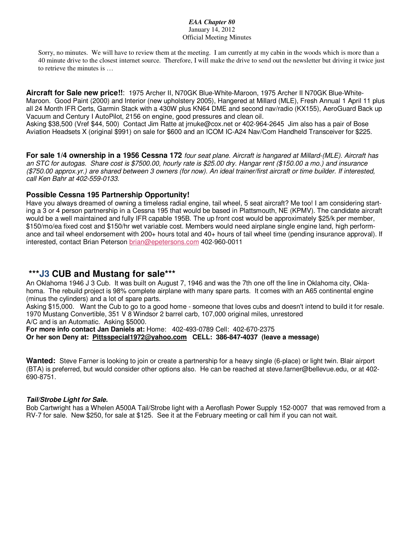#### *EAA Chapter 80*  January 14, 2012 Official Meeting Minutes

Sorry, no minutes. We will have to review them at the meeting. I am currently at my cabin in the woods which is more than a 40 minute drive to the closest internet source. Therefore, I will make the drive to send out the newsletter but driving it twice just to retrieve the minutes is …

**Aircraft for Sale new price!!**: 1975 Archer II, N70GK Blue-White-Maroon, 1975 Archer II N70GK Blue-White-Maroon. Good Paint (2000) and Interior (new upholstery 2005), Hangered at Millard (MLE), Fresh Annual 1 April 11 plus all 24 Month IFR Certs, Garmin Stack with a 430W plus KN64 DME and second nav/radio (KX155), AeroGuard Back up Vacuum and Century I AutoPilot, 2156 on engine, good pressures and clean oil.

Asking \$38,500 (Vref \$44, 500) Contact Jim Ratte at jrnuke@cox.net or 402-964-2645 Jim also has a pair of Bose Aviation Headsets X (original \$991) on sale for \$600 and an ICOM IC-A24 Nav/Com Handheld Transceiver for \$225.

**For sale 1/4 ownership in a 1956 Cessna 172** four seat plane. Aircraft is hangared at Millard-(MLE). Aircraft has an STC for autogas. Share cost is \$7500.00, hourly rate is \$25.00 dry. Hangar rent (\$150.00 a mo.) and insurance (\$750.00 approx.yr.) are shared between 3 owners (for now). An ideal trainer/first aircraft or time builder. If interested, call Ken Bahr at 402-559-0133.

## **Possible Cessna 195 Partnership Opportunity!**

Have you always dreamed of owning a timeless radial engine, tail wheel, 5 seat aircraft? Me too! I am considering starting a 3 or 4 person partnership in a Cessna 195 that would be based in Plattsmouth, NE (KPMV). The candidate aircraft would be a well maintained and fully IFR capable 195B. The up front cost would be approximately \$25/k per member, \$150/mo/ea fixed cost and \$150/hr wet variable cost. Members would need airplane single engine land, high performance and tail wheel endorsement with  $200+$  hours total and  $40+$  hours of tail wheel time (pending insurance approval). If interested, contact Brian Peterson brian@epetersons.com 402-960-0011

# **\*\*\*J3 CUB and Mustang for sale\*\*\***

An Oklahoma 1946 J 3 Cub. It was built on August 7, 1946 and was the 7th one off the line in Oklahoma city, Oklahoma. The rebuild project is 98% complete airplane with many spare parts. It comes with an A65 continental engine (minus the cylinders) and a lot of spare parts.

Asking \$15,000. Want the Cub to go to a good home - someone that loves cubs and doesn't intend to build it for resale. 1970 Mustang Convertible, 351 V 8 Windsor 2 barrel carb, 107,000 original miles, unrestored A/C and is an Automatic. Asking \$5000.

**For more info contact Jan Daniels at:** Home: 402-493-0789 Cell: 402-670-2375 **Or her son Deny at: Pittsspecial1972@yahoo.com CELL: 386-847-4037 (leave a message)** 

**Wanted:** Steve Farner is looking to join or create a partnership for a heavy single (6-place) or light twin. Blair airport (BTA) is preferred, but would consider other options also. He can be reached at steve.farner@bellevue.edu, or at 402- 690-8751.

#### **Tail/Strobe Light for Sale.**

Bob Cartwright has a Whelen A500A Tail/Strobe light with a Aeroflash Power Supply 152-0007 that was removed from a RV-7 for sale. New \$250, for sale at \$125. See it at the February meeting or call him if you can not wait.